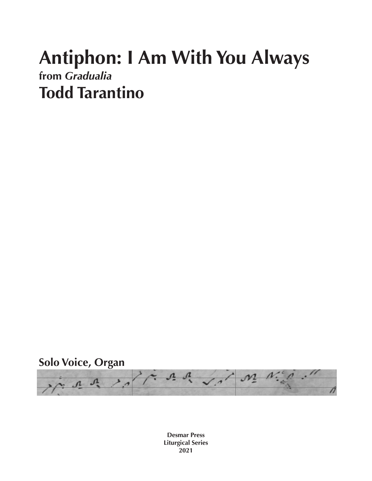## **Antiphon: I Am With You Always from** *Gradualia* **Todd Tarantino**



**Desmar Press Liturgical Series 2021**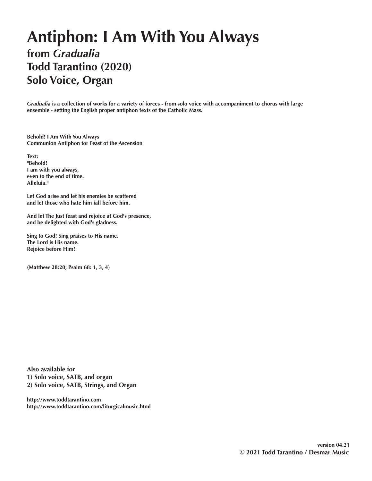## **Antiphon: I Am With You Always from** *Gradualia* **Todd Tarantino (2020) Solo Voice, Organ**

*Gradualia* **is a collection of works for a variety of forces - from solo voice with accompaniment to chorus with large ensemble - setting the English proper antiphon texts of the Catholic Mass.** 

**Behold! I Am With You Always Communion Antiphon for Feast of the Ascension**

**Text: "Behold! I am with you always, even to the end of time. Alleluia."**

**Let God arise and let his enemies be scattered and let those who hate him fall before him.**

**And let The Just feast and rejoice at God's presence, and be delighted with God's gladness.**

**Sing to God! Sing praises to His name. The Lord is His name. Rejoice before Him!**

**(Matthew 28:20; Psalm 68: 1, 3, 4)**

**Also available for 1) Solo voice, SATB, and organ 2) Solo voice, SATB, Strings, and Organ**

**http://www.toddtarantino.com http://www.toddtarantino.com/liturgicalmusic.html**